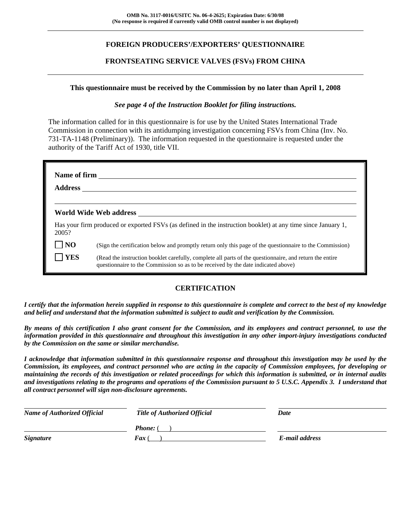# **FOREIGN PRODUCERS'/EXPORTERS' QUESTIONNAIRE**

## **FRONTSEATING SERVICE VALVES (FSVs) FROM CHINA**

### **This questionnaire must be received by the Commission by no later than April 1, 2008**

### *See page 4 of the Instruction Booklet for filing instructions.*

The information called for in this questionnaire is for use by the United States International Trade Commission in connection with its antidumping investigation concerning FSVs from China (Inv. No. 731-TA-1148 (Preliminary)). The information requested in the questionnaire is requested under the authority of the Tariff Act of 1930, title VII.

| Name of firm<br><b>Address</b> |                                                                                                                                                                                              |  |  |  |  |
|--------------------------------|----------------------------------------------------------------------------------------------------------------------------------------------------------------------------------------------|--|--|--|--|
|                                | World Wide Web address North States and Security States and Security States and Security States and Security S                                                                               |  |  |  |  |
| 2005?                          | Has your firm produced or exported FSVs (as defined in the instruction booklet) at any time since January 1,                                                                                 |  |  |  |  |
| $\overline{\phantom{a}}$ NO    | (Sign the certification below and promptly return only this page of the questionnaire to the Commission)                                                                                     |  |  |  |  |
| <b>YES</b>                     | (Read the instruction booklet carefully, complete all parts of the questionnaire, and return the entire<br>questionnaire to the Commission so as to be received by the date indicated above) |  |  |  |  |

# **CERTIFICATION**

*I certify that the information herein supplied in response to this questionnaire is complete and correct to the best of my knowledge and belief and understand that the information submitted is subject to audit and verification by the Commission.* 

*By means of this certification I also grant consent for the Commission, and its employees and contract personnel, to use the information provided in this questionnaire and throughout this investigation in any other import-injury investigations conducted by the Commission on the same or similar merchandise.* 

*I acknowledge that information submitted in this questionnaire response and throughout this investigation may be used by the Commission, its employees, and contract personnel who are acting in the capacity of Commission employees, for developing or maintaining the records of this investigation or related proceedings for which this information is submitted, or in internal audits and investigations relating to the programs and operations of the Commission pursuant to 5 U.S.C. Appendix 3. I understand that all contract personnel will sign non-disclosure agreements.* 

| <b>Name of Authorized Official</b> | <b>Title of Authorized Official</b> | Date           |
|------------------------------------|-------------------------------------|----------------|
|                                    | <b>Phone:</b> (                     |                |
| <b>Signature</b>                   | <b>Fax</b> (                        | E-mail address |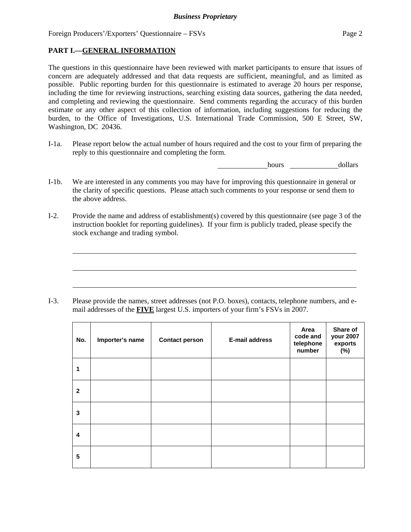# **PART I.—GENERAL INFORMATION**

 $\overline{a}$ 

 $\overline{a}$ 

 $\overline{a}$ 

The questions in this questionnaire have been reviewed with market participants to ensure that issues of concern are adequately addressed and that data requests are sufficient, meaningful, and as limited as possible. Public reporting burden for this questionnaire is estimated to average 20 hours per response, including the time for reviewing instructions, searching existing data sources, gathering the data needed, and completing and reviewing the questionnaire. Send comments regarding the accuracy of this burden estimate or any other aspect of this collection of information, including suggestions for reducing the burden, to the Office of Investigations, U.S. International Trade Commission, 500 E Street, SW, Washington, DC 20436.

I-1a. Please report below the actual number of hours required and the cost to your firm of preparing the reply to this questionnaire and completing the form.

hours dollars

- I-1b. We are interested in any comments you may have for improving this questionnaire in general or the clarity of specific questions. Please attach such comments to your response or send them to the above address.
- I-2. Provide the name and address of establishment(s) covered by this questionnaire (see page 3 of the instruction booklet for reporting guidelines). If your firm is publicly traded, please specify the stock exchange and trading symbol.

I-3. Please provide the names, street addresses (not P.O. boxes), contacts, telephone numbers, and email addresses of the **FIVE** largest U.S. importers of your firm's FSVs in 2007.

| No.          | Importer's name | <b>Contact person</b> | <b>E-mail address</b> | Area<br>code and<br>telephone<br>number | Share of<br>your 2007<br>exports<br>(%) |
|--------------|-----------------|-----------------------|-----------------------|-----------------------------------------|-----------------------------------------|
| 1            |                 |                       |                       |                                         |                                         |
| $\mathbf{2}$ |                 |                       |                       |                                         |                                         |
| 3            |                 |                       |                       |                                         |                                         |
| 4            |                 |                       |                       |                                         |                                         |
| 5            |                 |                       |                       |                                         |                                         |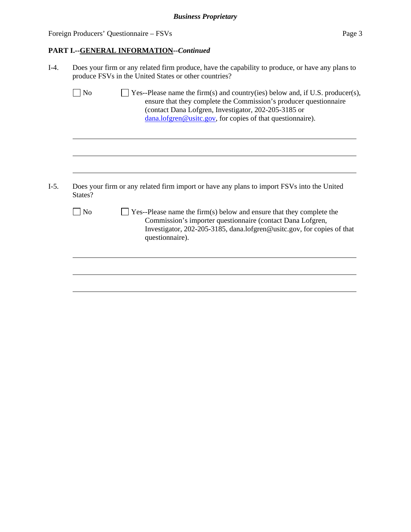l

 $\overline{a}$ 

 $\overline{a}$ 

 $\overline{a}$ 

 $\overline{a}$ 

 $\overline{a}$ 

## **PART I.--GENERAL INFORMATION***--Continued*

- I-4. Does your firm or any related firm produce, have the capability to produce, or have any plans to produce FSVs in the United States or other countries?  $\Box$  No  $\Box$  Yes--Please name the firm(s) and country(ies) below and, if U.S. producer(s), ensure that they complete the Commission's producer questionnaire (contact Dana Lofgren, Investigator, 202-205-3185 or dana.lofgren@usitc.gov, for copies of that questionnaire).
- I-5. Does your firm or any related firm import or have any plans to import FSVs into the United States?
	- $\Box$  No  $\Box$  Yes--Please name the firm(s) below and ensure that they complete the Commission's importer questionnaire (contact Dana Lofgren, Investigator, 202-205-3185, dana.lofgren@usitc.gov, for copies of that questionnaire).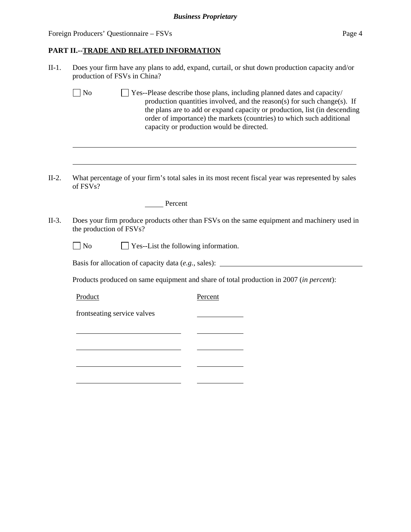l

l

# **PART II.--TRADE AND RELATED INFORMATION**

| $II-1.$ | Does your firm have any plans to add, expand, curtail, or shut down production capacity and/or<br>production of FSVs in China?                                                                                                                                                                                                                                       |  |  |  |  |  |
|---------|----------------------------------------------------------------------------------------------------------------------------------------------------------------------------------------------------------------------------------------------------------------------------------------------------------------------------------------------------------------------|--|--|--|--|--|
|         | $\Box$ No<br>Yes--Please describe those plans, including planned dates and capacity/<br>production quantities involved, and the reason(s) for such change(s). If<br>the plans are to add or expand capacity or production, list (in descending<br>order of importance) the markets (countries) to which such additional<br>capacity or production would be directed. |  |  |  |  |  |
|         |                                                                                                                                                                                                                                                                                                                                                                      |  |  |  |  |  |
| $II-2.$ | What percentage of your firm's total sales in its most recent fiscal year was represented by sales<br>of FSVs?                                                                                                                                                                                                                                                       |  |  |  |  |  |
|         | Percent                                                                                                                                                                                                                                                                                                                                                              |  |  |  |  |  |
| $II-3.$ | Does your firm produce products other than FSVs on the same equipment and machinery used in<br>the production of FSVs?                                                                                                                                                                                                                                               |  |  |  |  |  |
|         | Yes--List the following information.<br>$\Box$ No                                                                                                                                                                                                                                                                                                                    |  |  |  |  |  |
|         | Basis for allocation of capacity data (e.g., sales): ____________________________                                                                                                                                                                                                                                                                                    |  |  |  |  |  |
|         | Products produced on same equipment and share of total production in 2007 (in percent):                                                                                                                                                                                                                                                                              |  |  |  |  |  |
|         | Product<br>Percent                                                                                                                                                                                                                                                                                                                                                   |  |  |  |  |  |
|         | frontseating service valves                                                                                                                                                                                                                                                                                                                                          |  |  |  |  |  |
|         |                                                                                                                                                                                                                                                                                                                                                                      |  |  |  |  |  |
|         |                                                                                                                                                                                                                                                                                                                                                                      |  |  |  |  |  |

 $\overline{\phantom{a}}$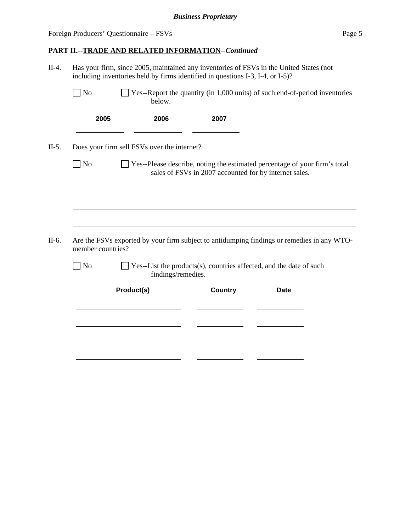l

| $\Box$ No         |                                             | below.             | $\Box$ Yes--Report the quantity (in 1,000 units) of such end-of-period inventories                                                   |             |  |
|-------------------|---------------------------------------------|--------------------|--------------------------------------------------------------------------------------------------------------------------------------|-------------|--|
| 2005              |                                             | 2006               | 2007                                                                                                                                 |             |  |
|                   | Does your firm sell FSVs over the internet? |                    |                                                                                                                                      |             |  |
| $\Box$ No         |                                             |                    | Yes--Please describe, noting the estimated percentage of your firm's total<br>sales of FSVs in 2007 accounted for by internet sales. |             |  |
|                   |                                             |                    |                                                                                                                                      |             |  |
|                   |                                             |                    |                                                                                                                                      |             |  |
|                   |                                             |                    |                                                                                                                                      |             |  |
|                   |                                             |                    |                                                                                                                                      |             |  |
|                   |                                             |                    |                                                                                                                                      |             |  |
| member countries? |                                             |                    | Are the FSVs exported by your firm subject to antidumping findings or remedies in any WTO-                                           |             |  |
| No                |                                             | findings/remedies. | Yes--List the products(s), countries affected, and the date of such                                                                  |             |  |
|                   | Product(s)                                  |                    | <b>Country</b>                                                                                                                       | <b>Date</b> |  |
|                   |                                             |                    |                                                                                                                                      |             |  |
|                   |                                             |                    |                                                                                                                                      |             |  |
|                   |                                             |                    |                                                                                                                                      |             |  |